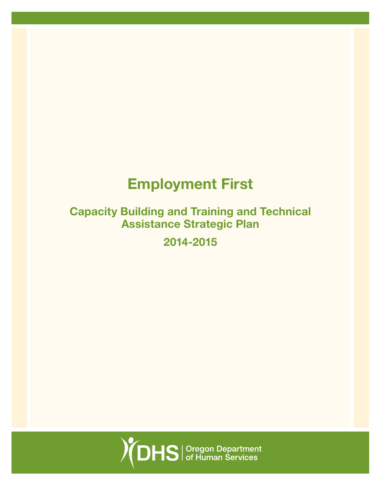# Employment First

# Capacity Building and Training and Technical Assistance Strategic Plan

2014-2015

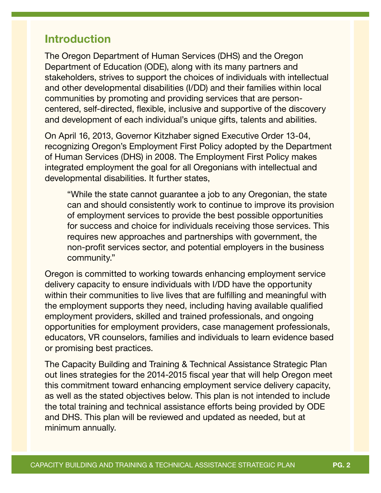# Introduction

The Oregon Department of Human Services (DHS) and the Oregon Department of Education (ODE), along with its many partners and stakeholders, strives to support the choices of individuals with intellectual and other developmental disabilities (I/DD) and their families within local communities by promoting and providing services that are personcentered, self-directed, flexible, inclusive and supportive of the discovery and development of each individual's unique gifts, talents and abilities.

On April 16, 2013, Governor Kitzhaber signed Executive Order 13-04, recognizing Oregon's Employment First Policy adopted by the Department of Human Services (DHS) in 2008. The Employment First Policy makes integrated employment the goal for all Oregonians with intellectual and developmental disabilities. It further states,

"While the state cannot guarantee a job to any Oregonian, the state can and should consistently work to continue to improve its provision of employment services to provide the best possible opportunities for success and choice for individuals receiving those services. This requires new approaches and partnerships with government, the non-profit services sector, and potential employers in the business community."

Oregon is committed to working towards enhancing employment service delivery capacity to ensure individuals with I/DD have the opportunity within their communities to live lives that are fulfilling and meaningful with the employment supports they need, including having available qualified employment providers, skilled and trained professionals, and ongoing opportunities for employment providers, case management professionals, educators, VR counselors, families and individuals to learn evidence based or promising best practices.

The Capacity Building and Training & Technical Assistance Strategic Plan out lines strategies for the 2014-2015 fiscal year that will help Oregon meet this commitment toward enhancing employment service delivery capacity, as well as the stated objectives below. This plan is not intended to include the total training and technical assistance efforts being provided by ODE and DHS. This plan will be reviewed and updated as needed, but at minimum annually.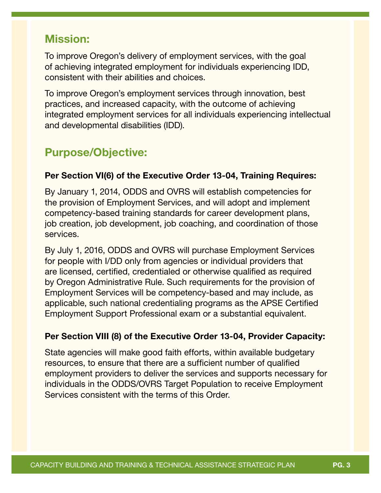# Mission:

To improve Oregon's delivery of employment services, with the goal of achieving integrated employment for individuals experiencing IDD, consistent with their abilities and choices.

To improve Oregon's employment services through innovation, best practices, and increased capacity, with the outcome of achieving integrated employment services for all individuals experiencing intellectual and developmental disabilities (IDD).

# Purpose/Objective:

### Per Section VI(6) of the Executive Order 13-04, Training Requires:

By January 1, 2014, ODDS and OVRS will establish competencies for the provision of Employment Services, and will adopt and implement competency-based training standards for career development plans, job creation, job development, job coaching, and coordination of those services.

By July 1, 2016, ODDS and OVRS will purchase Employment Services for people with I/DD only from agencies or individual providers that are licensed, certified, credentialed or otherwise qualified as required by Oregon Administrative Rule. Such requirements for the provision of Employment Services will be competency-based and may include, as applicable, such national credentialing programs as the APSE Certified Employment Support Professional exam or a substantial equivalent.

### Per Section VIII (8) of the Executive Order 13-04, Provider Capacity:

State agencies will make good faith efforts, within available budgetary resources, to ensure that there are a sufficient number of qualified employment providers to deliver the services and supports necessary for individuals in the ODDS/OVRS Target Population to receive Employment Services consistent with the terms of this Order.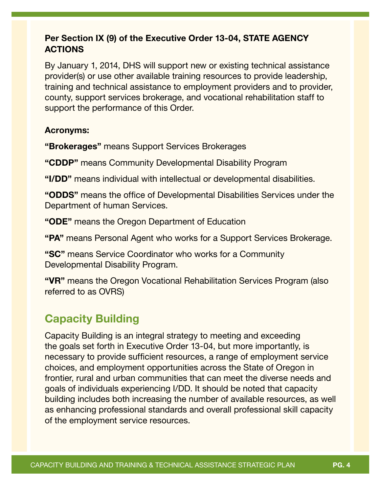### Per Section IX (9) of the Executive Order 13-04, STATE AGENCY ACTIONS

By January 1, 2014, DHS will support new or existing technical assistance provider(s) or use other available training resources to provide leadership, training and technical assistance to employment providers and to provider, county, support services brokerage, and vocational rehabilitation staff to support the performance of this Order.

#### Acronyms:

"Brokerages" means Support Services Brokerages

"CDDP" means Community Developmental Disability Program

"I/DD" means individual with intellectual or developmental disabilities.

"ODDS" means the office of Developmental Disabilities Services under the Department of human Services.

"ODE" means the Oregon Department of Education

"PA" means Personal Agent who works for a Support Services Brokerage.

"SC" means Service Coordinator who works for a Community Developmental Disability Program.

"VR" means the Oregon Vocational Rehabilitation Services Program (also referred to as OVRS)

# Capacity Building

Capacity Building is an integral strategy to meeting and exceeding the goals set forth in Executive Order 13-04, but more importantly, is necessary to provide sufficient resources, a range of employment service choices, and employment opportunities across the State of Oregon in frontier, rural and urban communities that can meet the diverse needs and goals of individuals experiencing I/DD. It should be noted that capacity building includes both increasing the number of available resources, as well as enhancing professional standards and overall professional skill capacity of the employment service resources.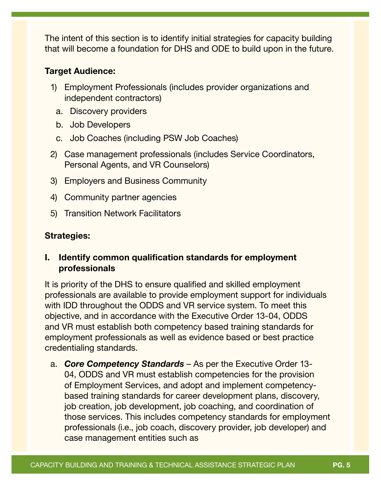The intent of this section is to identify initial strategies for capacity building that will become a foundation for DHS and ODE to build upon in the future.

#### Target Audience:

- 1) Employment Professionals (includes provider organizations and independent contractors)
	- a. Discovery providers
	- b. Job Developers
	- c. Job Coaches (including PSW Job Coaches)
- 2) Case management professionals (includes Service Coordinators, Personal Agents, and VR Counselors)
- 3) Employers and Business Community
- 4) Community partner agencies
- 5) Transition Network Facilitators

#### Strategies:

#### I. Identify common qualification standards for employment professionals

It is priority of the DHS to ensure qualified and skilled employment professionals are available to provide employment support for individuals with IDD throughout the ODDS and VR service system. To meet this objective, and in accordance with the Executive Order 13-04, ODDS and VR must establish both competency based training standards for employment professionals as well as evidence based or best practice credentialing standards.

a. *Core Competency Standards* – As per the Executive Order 13- 04, ODDS and VR must establish competencies for the provision of Employment Services, and adopt and implement competencybased training standards for career development plans, discovery, job creation, job development, job coaching, and coordination of those services. This includes competency standards for employment professionals (i.e., job coach, discovery provider, job developer) and case management entities such as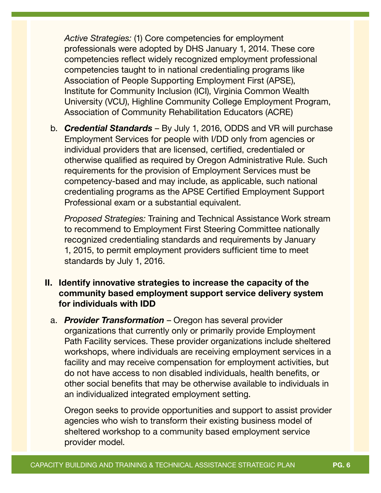*Active Strategies:* (1) Core competencies for employment professionals were adopted by DHS January 1, 2014. These core competencies reflect widely recognized employment professional competencies taught to in national credentialing programs like Association of People Supporting Employment First (APSE), Institute for Community Inclusion (ICI), Virginia Common Wealth University (VCU), Highline Community College Employment Program, Association of Community Rehabilitation Educators (ACRE)

b. *Credential Standards* – By July 1, 2016, ODDS and VR will purchase Employment Services for people with I/DD only from agencies or individual providers that are licensed, certified, credentialed or otherwise qualified as required by Oregon Administrative Rule. Such requirements for the provision of Employment Services must be competency-based and may include, as applicable, such national credentialing programs as the APSE Certified Employment Support Professional exam or a substantial equivalent.

*Proposed Strategies:* Training and Technical Assistance Work stream to recommend to Employment First Steering Committee nationally recognized credentialing standards and requirements by January 1, 2015, to permit employment providers sufficient time to meet standards by July 1, 2016.

### II. Identify innovative strategies to increase the capacity of the community based employment support service delivery system for individuals with IDD

a. *Provider Transformation* – Oregon has several provider organizations that currently only or primarily provide Employment Path Facility services. These provider organizations include sheltered workshops, where individuals are receiving employment services in a facility and may receive compensation for employment activities, but do not have access to non disabled individuals, health benefits, or other social benefits that may be otherwise available to individuals in an individualized integrated employment setting.

Oregon seeks to provide opportunities and support to assist provider agencies who wish to transform their existing business model of sheltered workshop to a community based employment service provider model.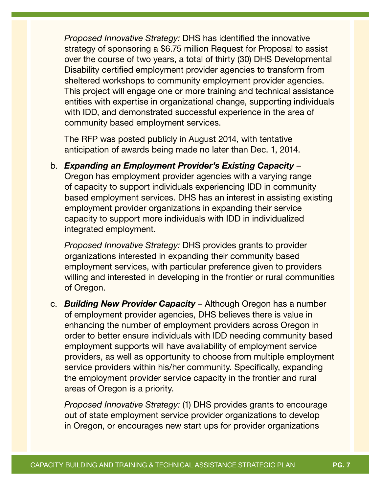*Proposed Innovative Strategy:* DHS has identified the innovative strategy of sponsoring a \$6.75 million Request for Proposal to assist over the course of two years, a total of thirty (30) DHS Developmental Disability certified employment provider agencies to transform from sheltered workshops to community employment provider agencies. This project will engage one or more training and technical assistance entities with expertise in organizational change, supporting individuals with IDD, and demonstrated successful experience in the area of community based employment services.

The RFP was posted publicly in August 2014, with tentative anticipation of awards being made no later than Dec. 1, 2014.

b. *Expanding an Employment Provider's Existing Capacity* – Oregon has employment provider agencies with a varying range of capacity to support individuals experiencing IDD in community based employment services. DHS has an interest in assisting existing employment provider organizations in expanding their service capacity to support more individuals with IDD in individualized integrated employment.

*Proposed Innovative Strategy:* DHS provides grants to provider organizations interested in expanding their community based employment services, with particular preference given to providers willing and interested in developing in the frontier or rural communities of Oregon.

c. *Building New Provider Capacity* – Although Oregon has a number of employment provider agencies, DHS believes there is value in enhancing the number of employment providers across Oregon in order to better ensure individuals with IDD needing community based employment supports will have availability of employment service providers, as well as opportunity to choose from multiple employment service providers within his/her community. Specifically, expanding the employment provider service capacity in the frontier and rural areas of Oregon is a priority.

*Proposed Innovative Strategy:* (1) DHS provides grants to encourage out of state employment service provider organizations to develop in Oregon, or encourages new start ups for provider organizations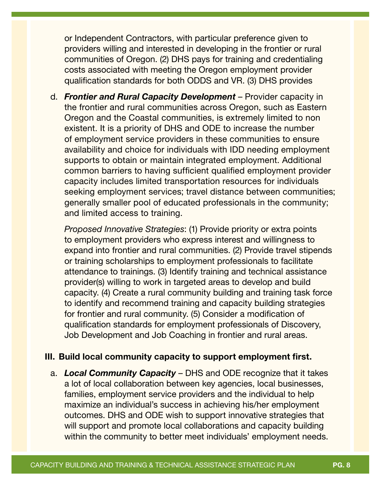or Independent Contractors, with particular preference given to providers willing and interested in developing in the frontier or rural communities of Oregon. (2) DHS pays for training and credentialing costs associated with meeting the Oregon employment provider qualification standards for both ODDS and VR. (3) DHS provides

d. *Frontier and Rural Capacity Development* – Provider capacity in the frontier and rural communities across Oregon, such as Eastern Oregon and the Coastal communities, is extremely limited to non existent. It is a priority of DHS and ODE to increase the number of employment service providers in these communities to ensure availability and choice for individuals with IDD needing employment supports to obtain or maintain integrated employment. Additional common barriers to having sufficient qualified employment provider capacity includes limited transportation resources for individuals seeking employment services; travel distance between communities; generally smaller pool of educated professionals in the community; and limited access to training.

*Proposed Innovative Strategies*: (1) Provide priority or extra points to employment providers who express interest and willingness to expand into frontier and rural communities. (2) Provide travel stipends or training scholarships to employment professionals to facilitate attendance to trainings. (3) Identify training and technical assistance provider(s) willing to work in targeted areas to develop and build capacity. (4) Create a rural community building and training task force to identify and recommend training and capacity building strategies for frontier and rural community. (5) Consider a modification of qualification standards for employment professionals of Discovery, Job Development and Job Coaching in frontier and rural areas.

#### III. Build local community capacity to support employment first.

a. *Local Community Capacity* – DHS and ODE recognize that it takes a lot of local collaboration between key agencies, local businesses, families, employment service providers and the individual to help maximize an individual's success in achieving his/her employment outcomes. DHS and ODE wish to support innovative strategies that will support and promote local collaborations and capacity building within the community to better meet individuals' employment needs.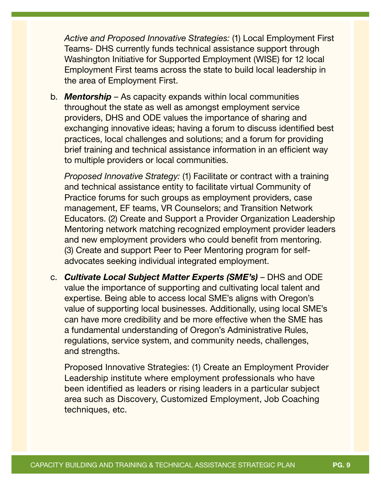*Active and Proposed Innovative Strategies:* (1) Local Employment First Teams- DHS currently funds technical assistance support through Washington Initiative for Supported Employment (WISE) for 12 local Employment First teams across the state to build local leadership in the area of Employment First.

b. *Mentorship* – As capacity expands within local communities throughout the state as well as amongst employment service providers, DHS and ODE values the importance of sharing and exchanging innovative ideas; having a forum to discuss identified best practices, local challenges and solutions; and a forum for providing brief training and technical assistance information in an efficient way to multiple providers or local communities.

*Proposed Innovative Strategy:* (1) Facilitate or contract with a training and technical assistance entity to facilitate virtual Community of Practice forums for such groups as employment providers, case management, EF teams, VR Counselors; and Transition Network Educators. (2) Create and Support a Provider Organization Leadership Mentoring network matching recognized employment provider leaders and new employment providers who could benefit from mentoring. (3) Create and support Peer to Peer Mentoring program for selfadvocates seeking individual integrated employment.

c. *Cultivate Local Subject Matter Experts (SME's)* – DHS and ODE value the importance of supporting and cultivating local talent and expertise. Being able to access local SME's aligns with Oregon's value of supporting local businesses. Additionally, using local SME's can have more credibility and be more effective when the SME has a fundamental understanding of Oregon's Administrative Rules, regulations, service system, and community needs, challenges, and strengths.

Proposed Innovative Strategies: (1) Create an Employment Provider Leadership institute where employment professionals who have been identified as leaders or rising leaders in a particular subject area such as Discovery, Customized Employment, Job Coaching techniques, etc.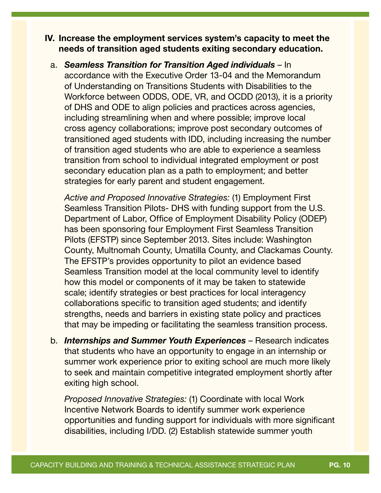#### IV. Increase the employment services system's capacity to meet the needs of transition aged students exiting secondary education.

a. *Seamless Transition for Transition Aged individuals* – In accordance with the Executive Order 13-04 and the Memorandum of Understanding on Transitions Students with Disabilities to the Workforce between ODDS, ODE, VR, and OCDD (2013), it is a priority of DHS and ODE to align policies and practices across agencies, including streamlining when and where possible; improve local cross agency collaborations; improve post secondary outcomes of transitioned aged students with IDD, including increasing the number of transition aged students who are able to experience a seamless transition from school to individual integrated employment or post secondary education plan as a path to employment; and better strategies for early parent and student engagement.

*Active and Proposed Innovative Strategies:* (1) Employment First Seamless Transition Pilots- DHS with funding support from the U.S. Department of Labor, Office of Employment Disability Policy (ODEP) has been sponsoring four Employment First Seamless Transition Pilots (EFSTP) since September 2013. Sites include: Washington County, Multnomah County, Umatilla County, and Clackamas County. The EFSTP's provides opportunity to pilot an evidence based Seamless Transition model at the local community level to identify how this model or components of it may be taken to statewide scale; identify strategies or best practices for local interagency collaborations specific to transition aged students; and identify strengths, needs and barriers in existing state policy and practices that may be impeding or facilitating the seamless transition process.

b. *Internships and Summer Youth Experiences* – Research indicates that students who have an opportunity to engage in an internship or summer work experience prior to exiting school are much more likely to seek and maintain competitive integrated employment shortly after exiting high school.

*Proposed Innovative Strategies:* (1) Coordinate with local Work Incentive Network Boards to identify summer work experience opportunities and funding support for individuals with more significant disabilities, including I/DD. (2) Establish statewide summer youth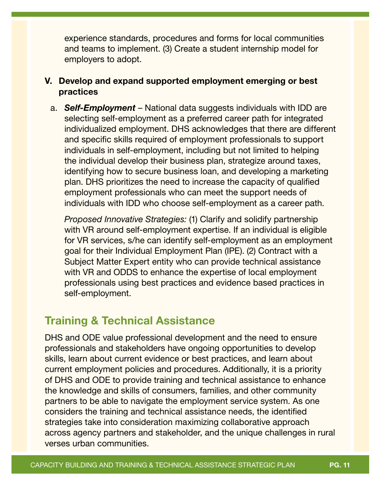experience standards, procedures and forms for local communities and teams to implement. (3) Create a student internship model for employers to adopt.

### V. Develop and expand supported employment emerging or best practices

a. *Self-Employment* – National data suggests individuals with IDD are selecting self-employment as a preferred career path for integrated individualized employment. DHS acknowledges that there are different and specific skills required of employment professionals to support individuals in self-employment, including but not limited to helping the individual develop their business plan, strategize around taxes, identifying how to secure business loan, and developing a marketing plan. DHS prioritizes the need to increase the capacity of qualified employment professionals who can meet the support needs of individuals with IDD who choose self-employment as a career path.

*Proposed Innovative Strategies:* (1) Clarify and solidify partnership with VR around self-employment expertise. If an individual is eligible for VR services, s/he can identify self-employment as an employment goal for their Individual Employment Plan (IPE). (2) Contract with a Subject Matter Expert entity who can provide technical assistance with VR and ODDS to enhance the expertise of local employment professionals using best practices and evidence based practices in self-employment.

# Training & Technical Assistance

DHS and ODE value professional development and the need to ensure professionals and stakeholders have ongoing opportunities to develop skills, learn about current evidence or best practices, and learn about current employment policies and procedures. Additionally, it is a priority of DHS and ODE to provide training and technical assistance to enhance the knowledge and skills of consumers, families, and other community partners to be able to navigate the employment service system. As one considers the training and technical assistance needs, the identified strategies take into consideration maximizing collaborative approach across agency partners and stakeholder, and the unique challenges in rural verses urban communities.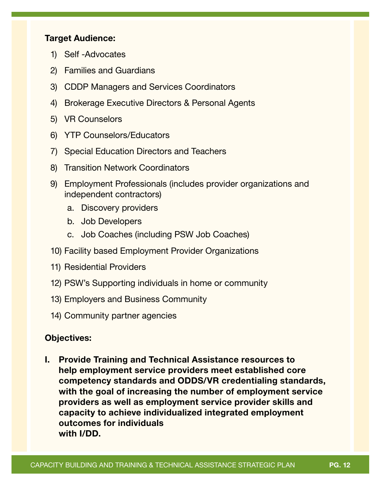#### Target Audience:

- 1) Self -Advocates
- 2) Families and Guardians
- 3) CDDP Managers and Services Coordinators
- 4) Brokerage Executive Directors & Personal Agents
- 5) VR Counselors
- 6) YTP Counselors/Educators
- 7) Special Education Directors and Teachers
- 8) Transition Network Coordinators
- 9) Employment Professionals (includes provider organizations and independent contractors)
	- a. Discovery providers
	- b. Job Developers
	- c. Job Coaches (including PSW Job Coaches)
- 10) Facility based Employment Provider Organizations
- 11) Residential Providers
- 12) PSW's Supporting individuals in home or community
- 13) Employers and Business Community
- 14) Community partner agencies

#### Objectives:

I. Provide Training and Technical Assistance resources to help employment service providers meet established core competency standards and ODDS/VR credentialing standards, with the goal of increasing the number of employment service providers as well as employment service provider skills and capacity to achieve individualized integrated employment outcomes for individuals with I/DD.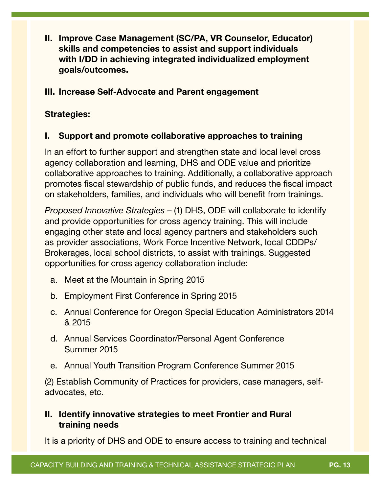II. Improve Case Management (SC/PA, VR Counselor, Educator) skills and competencies to assist and support individuals with I/DD in achieving integrated individualized employment goals/outcomes.

### III. Increase Self-Advocate and Parent engagement

#### Strategies:

#### I. Support and promote collaborative approaches to training

In an effort to further support and strengthen state and local level cross agency collaboration and learning, DHS and ODE value and prioritize collaborative approaches to training. Additionally, a collaborative approach promotes fiscal stewardship of public funds, and reduces the fiscal impact on stakeholders, families, and individuals who will benefit from trainings.

*Proposed Innovative Strategies* – (1) DHS, ODE will collaborate to identify and provide opportunities for cross agency training. This will include engaging other state and local agency partners and stakeholders such as provider associations, Work Force Incentive Network, local CDDPs/ Brokerages, local school districts, to assist with trainings. Suggested opportunities for cross agency collaboration include:

- a. Meet at the Mountain in Spring 2015
- b. Employment First Conference in Spring 2015
- c. Annual Conference for Oregon Special Education Administrators 2014 & 2015
- d. Annual Services Coordinator/Personal Agent Conference Summer 2015
- e. Annual Youth Transition Program Conference Summer 2015

(2) Establish Community of Practices for providers, case managers, selfadvocates, etc.

### II. Identify innovative strategies to meet Frontier and Rural training needs

It is a priority of DHS and ODE to ensure access to training and technical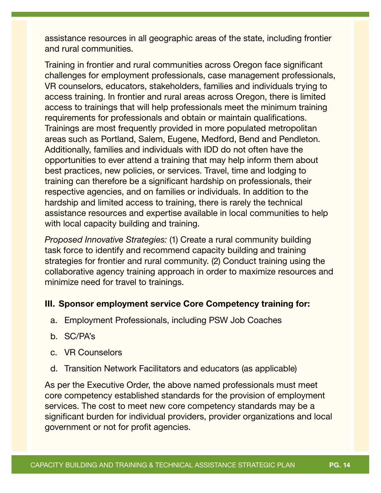assistance resources in all geographic areas of the state, including frontier and rural communities.

Training in frontier and rural communities across Oregon face significant challenges for employment professionals, case management professionals, VR counselors, educators, stakeholders, families and individuals trying to access training. In frontier and rural areas across Oregon, there is limited access to trainings that will help professionals meet the minimum training requirements for professionals and obtain or maintain qualifications. Trainings are most frequently provided in more populated metropolitan areas such as Portland, Salem, Eugene, Medford, Bend and Pendleton. Additionally, families and individuals with IDD do not often have the opportunities to ever attend a training that may help inform them about best practices, new policies, or services. Travel, time and lodging to training can therefore be a significant hardship on professionals, their respective agencies, and on families or individuals. In addition to the hardship and limited access to training, there is rarely the technical assistance resources and expertise available in local communities to help with local capacity building and training.

*Proposed Innovative Strategies:* (1) Create a rural community building task force to identify and recommend capacity building and training strategies for frontier and rural community. (2) Conduct training using the collaborative agency training approach in order to maximize resources and minimize need for travel to trainings.

#### III. Sponsor employment service Core Competency training for:

- a. Employment Professionals, including PSW Job Coaches
- b. SC/PA's
- c. VR Counselors
- d. Transition Network Facilitators and educators (as applicable)

As per the Executive Order, the above named professionals must meet core competency established standards for the provision of employment services. The cost to meet new core competency standards may be a significant burden for individual providers, provider organizations and local government or not for profit agencies.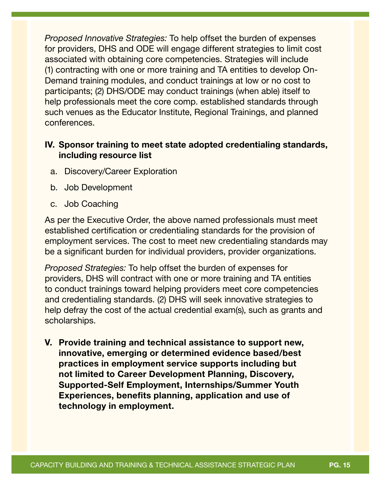*Proposed Innovative Strategies:* To help offset the burden of expenses for providers, DHS and ODE will engage different strategies to limit cost associated with obtaining core competencies. Strategies will include (1) contracting with one or more training and TA entities to develop On-Demand training modules, and conduct trainings at low or no cost to participants; (2) DHS/ODE may conduct trainings (when able) itself to help professionals meet the core comp. established standards through such venues as the Educator Institute, Regional Trainings, and planned conferences.

### IV. Sponsor training to meet state adopted credentialing standards, including resource list

- a. Discovery/Career Exploration
- b. Job Development
- c. Job Coaching

As per the Executive Order, the above named professionals must meet established certification or credentialing standards for the provision of employment services. The cost to meet new credentialing standards may be a significant burden for individual providers, provider organizations.

*Proposed Strategies:* To help offset the burden of expenses for providers, DHS will contract with one or more training and TA entities to conduct trainings toward helping providers meet core competencies and credentialing standards. (2) DHS will seek innovative strategies to help defray the cost of the actual credential exam(s), such as grants and scholarships.

V. Provide training and technical assistance to support new, innovative, emerging or determined evidence based/best practices in employment service supports including but not limited to Career Development Planning, Discovery, Supported-Self Employment, Internships/Summer Youth Experiences, benefits planning, application and use of technology in employment.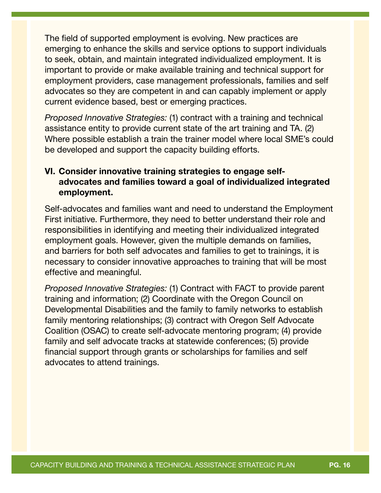The field of supported employment is evolving. New practices are emerging to enhance the skills and service options to support individuals to seek, obtain, and maintain integrated individualized employment. It is important to provide or make available training and technical support for employment providers, case management professionals, families and self advocates so they are competent in and can capably implement or apply current evidence based, best or emerging practices.

*Proposed Innovative Strategies:* (1) contract with a training and technical assistance entity to provide current state of the art training and TA. (2) Where possible establish a train the trainer model where local SME's could be developed and support the capacity building efforts.

### VI. Consider innovative training strategies to engage selfadvocates and families toward a goal of individualized integrated employment.

Self-advocates and families want and need to understand the Employment First initiative. Furthermore, they need to better understand their role and responsibilities in identifying and meeting their individualized integrated employment goals. However, given the multiple demands on families, and barriers for both self advocates and families to get to trainings, it is necessary to consider innovative approaches to training that will be most effective and meaningful.

*Proposed Innovative Strategies:* (1) Contract with FACT to provide parent training and information; (2) Coordinate with the Oregon Council on Developmental Disabilities and the family to family networks to establish family mentoring relationships; (3) contract with Oregon Self Advocate Coalition (OSAC) to create self-advocate mentoring program; (4) provide family and self advocate tracks at statewide conferences; (5) provide financial support through grants or scholarships for families and self advocates to attend trainings.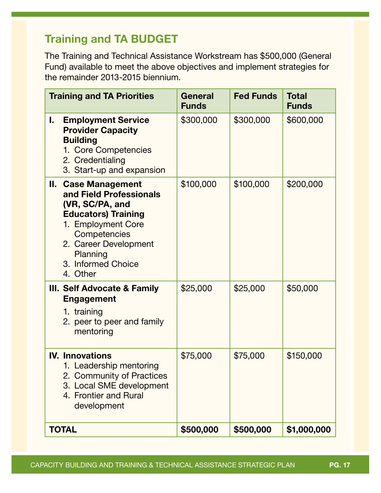# Training and TA BUDGET

The Training and Technical Assistance Workstream has \$500,000 (General Fund) available to meet the above objectives and implement strategies for the remainder 2013-2015 biennium.

| <b>Training and TA Priorities</b>                                                                                                                                                                                   | <b>General</b><br><b>Funds</b> | <b>Fed Funds</b> | <b>Total</b><br><b>Funds</b> |
|---------------------------------------------------------------------------------------------------------------------------------------------------------------------------------------------------------------------|--------------------------------|------------------|------------------------------|
| <b>Employment Service</b><br>L.<br><b>Provider Capacity</b><br><b>Building</b><br>1. Core Competencies<br>2. Credentialing<br>3. Start-up and expansion                                                             | \$300,000                      | \$300,000        | \$600,000                    |
| <b>II. Case Management</b><br>and Field Professionals<br>(VR, SC/PA, and<br><b>Educators) Training</b><br>1. Employment Core<br>Competencies<br>2. Career Development<br>Planning<br>3. Informed Choice<br>4. Other | \$100,000                      | \$100,000        | \$200,000                    |
| <b>III. Self Advocate &amp; Family</b><br><b>Engagement</b><br>1. training<br>2. peer to peer and family<br>mentoring                                                                                               | \$25,000                       | \$25,000         | \$50,000                     |
| <b>IV. Innovations</b><br>1. Leadership mentoring<br>2. Community of Practices<br>3. Local SME development<br>4. Frontier and Rural<br>development                                                                  | \$75,000                       | \$75,000         | \$150,000                    |
| <b>TOTAL</b>                                                                                                                                                                                                        | \$500,000                      | \$500,000        | \$1,000,000                  |